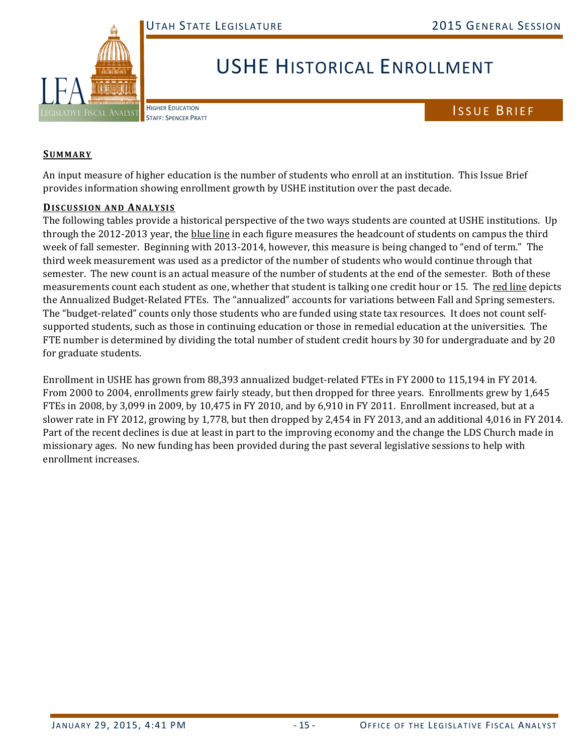

## USHE HISTORICAL ENROLLMENT

**HIGHER EDUCATION** 

## HIGHER EDUCATION<br>STAFF: SPENCER PRATT

## **SUMMARY**

An input measure of higher education is the number of students who enroll at an institution. This Issue Brief provides information showing enrollment growth by USHE institution over the past decade.

## **DISCUSSION AND ANALYSIS**

The following tables provide a historical perspective of the two ways students are counted at USHE institutions. Up through the 2012-2013 year, the blue line in each figure measures the headcount of students on campus the third week of fall semester. Beginning with 2013-2014, however, this measure is being changed to "end of term." The third week measurement was used as a predictor of the number of students who would continue through that semester. The new count is an actual measure of the number of students at the end of the semester. Both of these measurements count each student as one, whether that student is talking one credit hour or 15. The red line depicts the Annualized Budget-Related FTEs. The "annualized" accounts for variations between Fall and Spring semesters. The "budget-related" counts only those students who are funded using state tax resources. It does not count selfsupported students, such as those in continuing education or those in remedial education at the universities. The FTE number is determined by dividing the total number of student credit hours by 30 for undergraduate and by 20 for graduate students.

Enrollment in USHE has grown from 88,393 annualized budget-related FTEs in FY 2000 to 115,194 in FY 2014. From 2000 to 2004, enrollments grew fairly steady, but then dropped for three years. Enrollments grew by 1,645 FTEs in 2008, by 3,099 in 2009, by 10,475 in FY 2010, and by 6,910 in FY 2011. Enrollment increased, but at a slower rate in FY 2012, growing by 1,778, but then dropped by 2,454 in FY 2013, and an additional 4,016 in FY 2014. Part of the recent declines is due at least in part to the improving economy and the change the LDS Church made in missionary ages. No new funding has been provided during the past several legislative sessions to help with enrollment increases.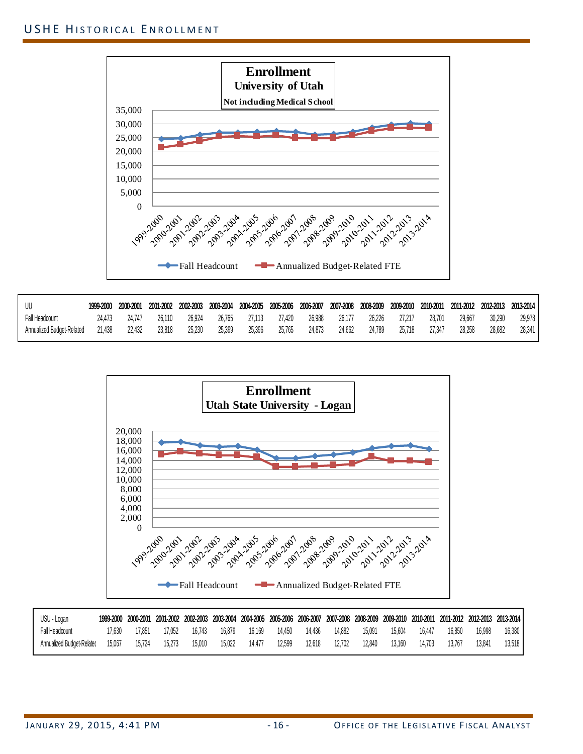

| UU                        | 1999-2000 | 2000-2001 | 2001-2002 | 2002-2003 | 2003-2004 | 2004-2005 |        | 2005-2006 2006-2007 | 2007-2008 |        | 2008-2009 2009-2010 | 2010-2011 | 2011-2012 2012-2013 |        | 2013-2014 |
|---------------------------|-----------|-----------|-----------|-----------|-----------|-----------|--------|---------------------|-----------|--------|---------------------|-----------|---------------------|--------|-----------|
| Fall Headcount            | 24.473    | 24.747    | 26.110    | 26.924    | 26.765    | 27.113    | 27.420 | 26.988              | 26.177    | 26,226 | 27.217              | 28,701    | 29.667              | 30.290 | 29,978    |
| Annualized Budget-Related | 21.438    | 22.432    | 23.818    | 25.230    | 25.399    | 25.396    | 25,765 | 24.873              | 24.662    | 24.789 | 25.718              | 27.347    | 28.258              | 28.682 | 28,341    |



| USU - Logan               |        | 1999-2000 2000-2001 |        |        |        |        |        |        |        |        |        |        |        |        | 2001-2002 2002-2003 2003-2004 2004-2005 2005-2006 2006-2007 2007-2008 2008-2009 2009-2010 2010-2011 2011-2012 2012-2013 2013-2014 |
|---------------------------|--------|---------------------|--------|--------|--------|--------|--------|--------|--------|--------|--------|--------|--------|--------|-----------------------------------------------------------------------------------------------------------------------------------|
| Fall Headcount            | 17.630 | 17.851              | 17.052 | 16.743 | 16.879 | 16.169 | 14.450 | 14.436 | 14.882 | 15.091 | 15.604 | 16.447 | 16,850 | 16.998 | 16,380                                                                                                                            |
| Annualized Budget-Related | 15.067 | 15.724              | 15,273 | 15.010 | 15.022 | 14.477 | 12.599 | 12.618 | 12.702 | 12.840 | 13.160 | 14,703 | 13.767 | 13.841 | 13.518                                                                                                                            |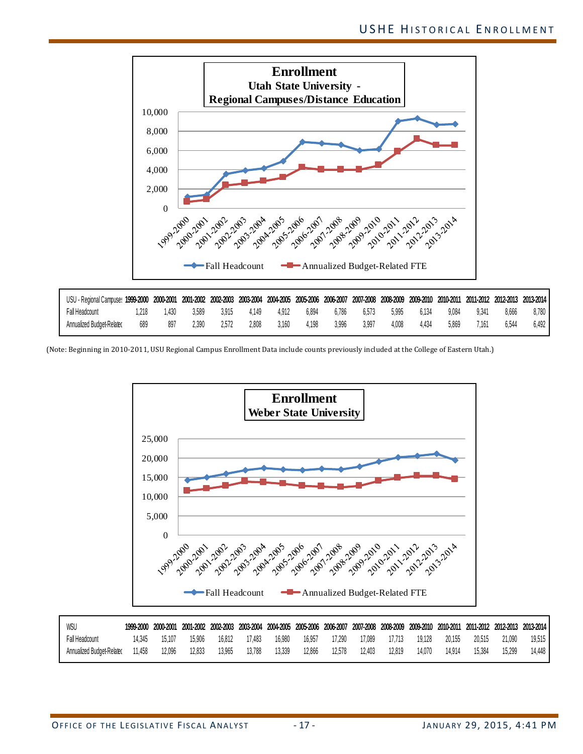

(Note: Beginning in 2010-2011, USU Regional Campus Enrollment Data include counts previously included at the College of Eastern Utah.)



| WSU                       |        | 1999-2000 2000-2001 |        | 2001-2002 2002-2003 2003-2004 |        |        |        | 2004-2005 2005-2006 2006-2007 2007-2008 2008-2009 2009-2010 2010-2011 2011-2012 2012-2013 2013-2014 |        |        |        |        |        |        |        |
|---------------------------|--------|---------------------|--------|-------------------------------|--------|--------|--------|-----------------------------------------------------------------------------------------------------|--------|--------|--------|--------|--------|--------|--------|
| Fall Headcount            |        | 15.107              | 15.906 | 16.812                        | 17.483 | 16.980 | 16.957 | 17.290                                                                                              | 17.089 | 17.713 | 19.128 | 20,155 | 20.515 | 21.090 | 19.515 |
| Annualized Budget-Related | 11.458 | 12.096              | 12.833 | 13.965                        | 13.788 | 13.339 | 12.866 | 12.578                                                                                              | 12,403 | 12.819 | 14.070 | 14.914 | 15.384 | 15.299 | 14.448 |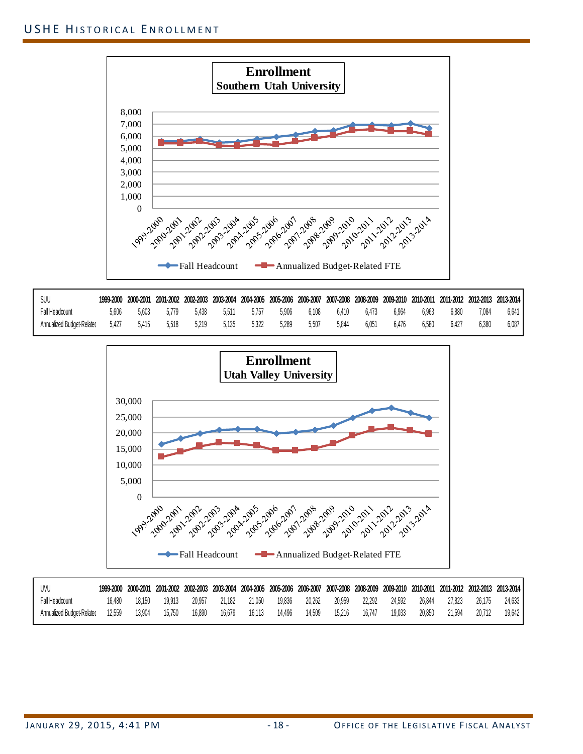

| SUU                       | 1999-2000 | 2000-2001 |        | 2001-2002 2002-2003 2003-2004 |       | 2004-2005 2005-2006 2006-2007 |       |       |       | 2007-2008 2008-2009 2009-2010 |       | 2010-2011 |       |       | 2011-2012 2012-2013 2013-2014 |
|---------------------------|-----------|-----------|--------|-------------------------------|-------|-------------------------------|-------|-------|-------|-------------------------------|-------|-----------|-------|-------|-------------------------------|
| all Headcount             | 5,606     | 5.603     | .779 ر | 5.438                         | 5.511 | 5.757                         | 5.906 | 6.108 | 6.410 | 6.473                         | 6.964 | 6.963     | 6,880 | 1.084 | 6.641                         |
| Annualized Budget-Related | 5.427     | 5.415     | 5.518  | 5.219                         | 5.135 | 5.322                         | 5.289 | 5.507 | 5,844 | $6.05^{\circ}$                | 6.476 | 6.580     | 6.427 | 6.380 | 6.087                         |



| UVL                       |        | 1999-2000 2000-2001 |        |        |               |        |        |        |        |        |        |        |        |        | 2001-2002 2002-2003 2003-2004 2004-2005 2005-2006 2006-2007 2007-2008 2008-2009 2009-2010 2010-2011 2011-2012 2012-2013 2013-2014 |
|---------------------------|--------|---------------------|--------|--------|---------------|--------|--------|--------|--------|--------|--------|--------|--------|--------|-----------------------------------------------------------------------------------------------------------------------------------|
| Fall Headcount            | 16.480 | 18.150              | 19.913 |        | 20.957 21.182 | 21.050 | 19,836 | 20.262 | 20.959 | 22.292 | 24.592 | 26.844 | 27.823 | 26.175 | 24.633                                                                                                                            |
| Annualized Budget-Related | 12.559 | 13.904              | 15,750 | 16,890 | 16.679        | 16.113 | 14.496 | 14.509 | 15,216 | 16.747 | 19.033 | 20,850 | 21.594 | 20.712 | 19,642                                                                                                                            |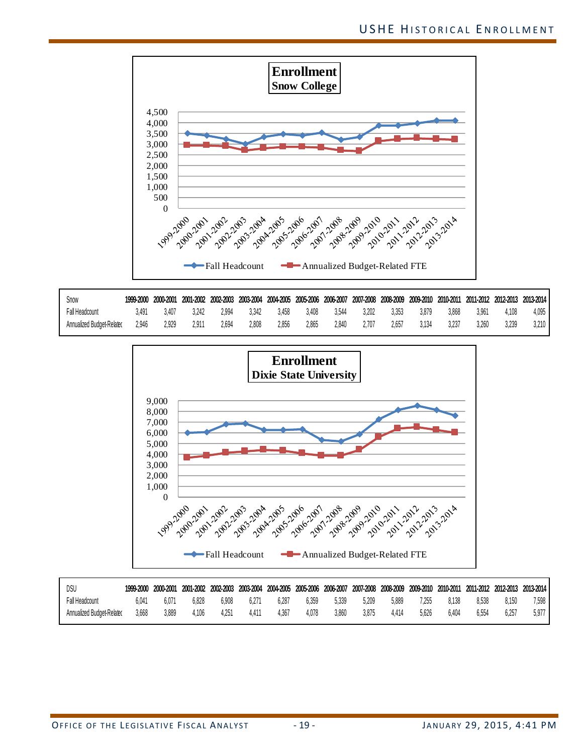

| Snow                      | 1999-2000 | 2000-2001 |       |       | 2001-2002 2002-2003 2003-2004 |       |       | 2004-2005 2005-2006 2006-2007 | 2007-2008 2008-2009 2009-2010 |       |       | 2010-2011 |       |       | 2011-2012 2012-2013 2013-2014 |
|---------------------------|-----------|-----------|-------|-------|-------------------------------|-------|-------|-------------------------------|-------------------------------|-------|-------|-----------|-------|-------|-------------------------------|
| Fall Headcount            | R 491     | 3.407     | 242   | 2.994 | 3.342                         | 3.458 | 3.408 | 3.544                         | 3.202                         | 3.353 | 3.879 | 3.868     | 3.961 | .108  | 4.095                         |
| Annualized Budget-Related | 2.946     | 2.929     | 2.91. | 2.694 | 2.808                         | 2.856 | 2.865 | 2.840                         | :707                          | 2.657 | 3.134 | 3.237     | 3.260 | 3.239 | $3,210$                       |



| DSL                       | 1999-2000 | 2000-2001 |       | 2001-2002 2002-2003 | 2003-2004      |       |       | 2004-2005 2005-2006 2006-2007 2007-2008 2008-2009 2009-2010 2010-2011 |       |       |       |       |       |       | 2011-2012 2012-2013 2013-2014 |
|---------------------------|-----------|-----------|-------|---------------------|----------------|-------|-------|-----------------------------------------------------------------------|-------|-------|-------|-------|-------|-------|-------------------------------|
| Fall Headcount            | 5.O41     | 6.07      | 6.828 | 6.908               | $6.27^{\circ}$ | 6.287 | 6.359 | 5.339                                                                 | 5.209 | 5,889 | 1.255 | 8.138 | 8.538 | 8.150 | $7.598$ $\blacksquare$        |
| Annualized Budget-Related | 3.668     | 3.889     | .106  | 4.251               | 4.41           | 4.367 | 4.078 | 3.860                                                                 | 3.875 | 4.414 | 5.626 | 6.404 | 6.554 | 6.257 | $5.977$ $\blacksquare$        |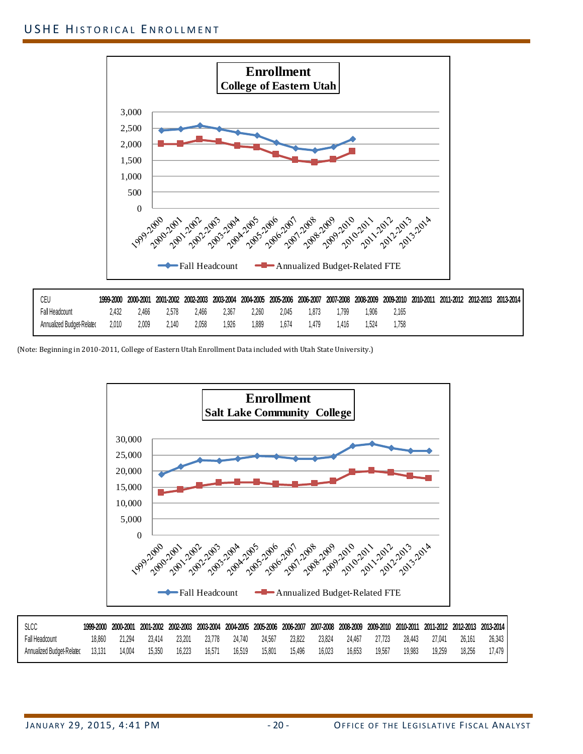

(Note: Beginning in 2010-2011, College of Eastern Utah Enrollment Data included with Utah State University.)



| SLCC                             |        | 1999-2000 2000-2001 2001-2002 |        |        |        |        |        | 2002-2003 2003-2004 2004-2005 2005-2006 2006-2007 2007-2008 2008-2009 2009-2010 2010-2011 2011-2012 2012-2013 2013-2014 |        |        |        |        |        |        |        |
|----------------------------------|--------|-------------------------------|--------|--------|--------|--------|--------|-------------------------------------------------------------------------------------------------------------------------|--------|--------|--------|--------|--------|--------|--------|
| Fall Headcount                   | 18,860 | 21.294                        | 23.414 | 23.201 | 23.778 | 24.740 | 24.567 | 23.822                                                                                                                  | 23.824 | 24.467 | 27.723 | 28.443 | 27.041 | 26.161 | 26.343 |
| Annualized Budget-Related 13,131 |        | 14.004                        | 15,350 | 16,223 | 16.571 | 16.519 | 15.801 | 15.496                                                                                                                  | 16.023 | 16.653 | 19.567 | 19.983 | 19.259 | 18.256 | 17.479 |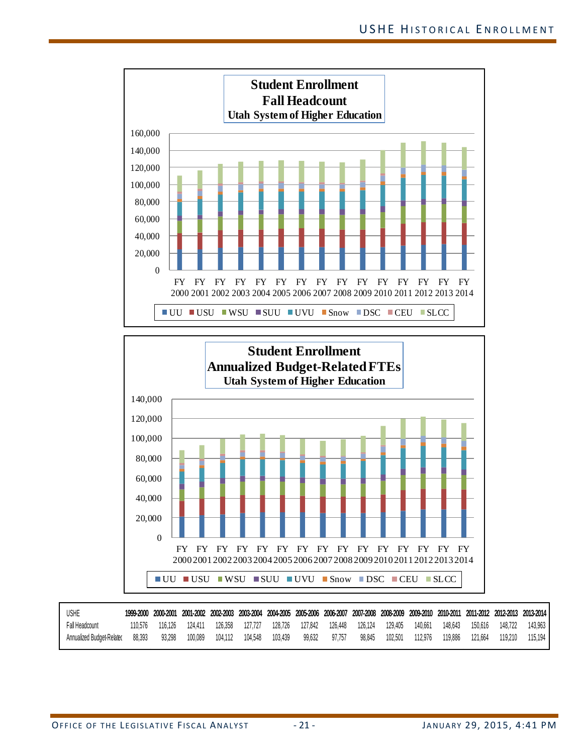



| USHE                             |         |         |         |                 |         |               |        |                 |         |         |         | 1999-2000 2000-2001 2001-2002 2002-2003 2003-2004 2004-2005 2005-2006 2006-2007 2007-2008 2008-2009 2009-2010 2010-2011 2011-2012 2012-2013 2013-2014 |
|----------------------------------|---------|---------|---------|-----------------|---------|---------------|--------|-----------------|---------|---------|---------|-------------------------------------------------------------------------------------------------------------------------------------------------------|
| Fall Headcount                   | 110.576 | 116.126 | 124.411 | 126.358 127.727 |         |               |        |                 |         |         |         | 128,726 127,842 126,448 126,124 129,405 140,661 148,643 150,616 148,722 143,963                                                                       |
| Annualized Budget-Relatec 88,393 |         | 93.298  |         |                 | 103.439 | 99.632 97.757 | 98.845 | 102.501 112.976 | 119,886 | 121.664 | 119.210 | 115.194                                                                                                                                               |